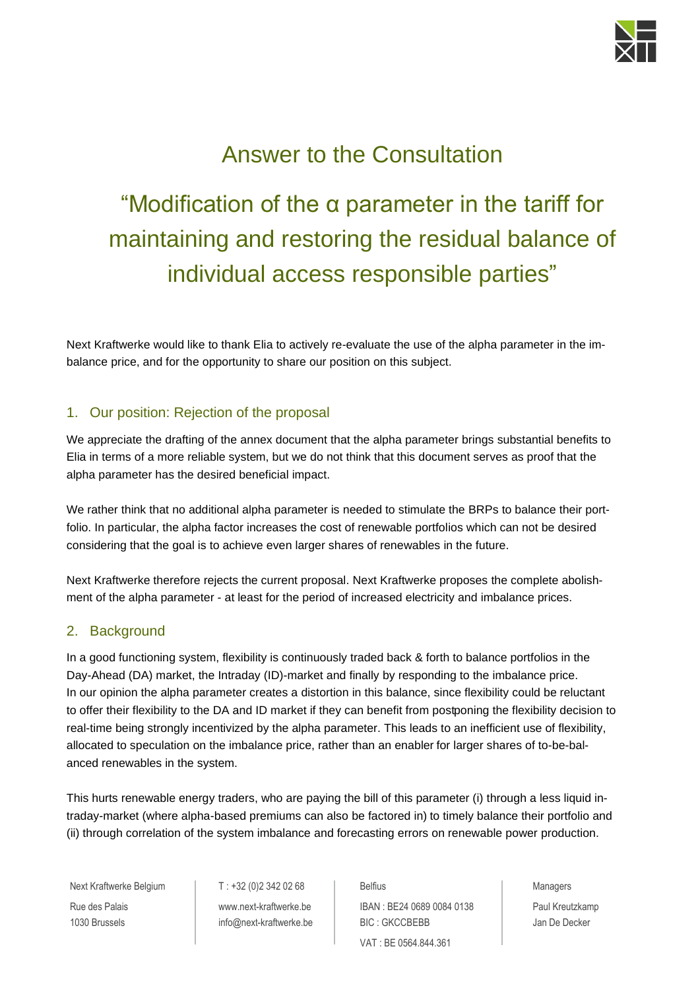

# Answer to the Consultation

# "Modification of the  $\alpha$  parameter in the tariff for maintaining and restoring the residual balance of individual access responsible parties"

Next Kraftwerke would like to thank Elia to actively re-evaluate the use of the alpha parameter in the imbalance price, and for the opportunity to share our position on this subject.

## 1. Our position: Rejection of the proposal

We appreciate the drafting of the annex document that the alpha parameter brings substantial benefits to Elia in terms of a more reliable system, but we do not think that this document serves as proof that the alpha parameter has the desired beneficial impact.

We rather think that no additional alpha parameter is needed to stimulate the BRPs to balance their portfolio. In particular, the alpha factor increases the cost of renewable portfolios which can not be desired considering that the goal is to achieve even larger shares of renewables in the future.

Next Kraftwerke therefore rejects the current proposal. Next Kraftwerke proposes the complete abolishment of the alpha parameter - at least for the period of increased electricity and imbalance prices.

### 2. Background

In a good functioning system, flexibility is continuously traded back & forth to balance portfolios in the Day-Ahead (DA) market, the Intraday (ID)-market and finally by responding to the imbalance price. In our opinion the alpha parameter creates a distortion in this balance, since flexibility could be reluctant to offer their flexibility to the DA and ID market if they can benefit from postponing the flexibility decision to real-time being strongly incentivized by the alpha parameter. This leads to an inefficient use of flexibility, allocated to speculation on the imbalance price, rather than an enabler for larger shares of to-be-balanced renewables in the system.

This hurts renewable energy traders, who are paying the bill of this parameter (i) through a less liquid intraday-market (where alpha-based premiums can also be factored in) to timely balance their portfolio and (ii) through correlation of the system imbalance and forecasting errors on renewable power production.

Next Kraftwerke Belgium T: +32 (0)2 342 02 68 Belfius Belfius Area Managers Rue des Palais **Example 3 Auch 19 No. 1998** Www.next-kraftwerke.be **IBAN : BE24 0689 0084 0138** Paul Kreutzkamp 1030 Brussels **[info@next-kraftwerke.b](mailto:info@next-kraftwerke.)e BIC : GKCCBEBB** Jan De Decker VAT : BE 0564.844.361